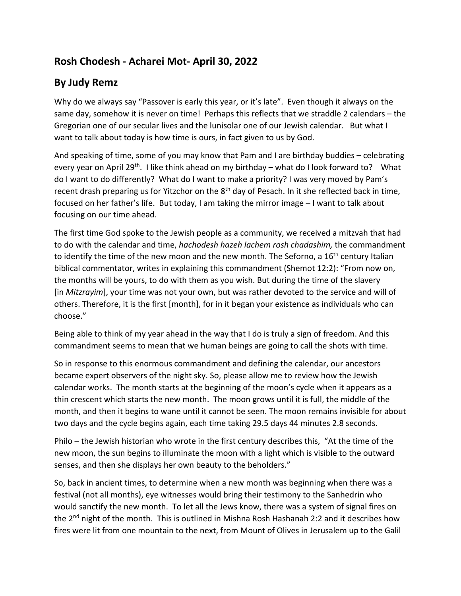## **Rosh Chodesh - Acharei Mot- April 30, 2022**

## **By Judy Remz**

Why do we always say "Passover is early this year, or it's late". Even though it always on the same day, somehow it is never on time! Perhaps this reflects that we straddle 2 calendars – the Gregorian one of our secular lives and the lunisolar one of our Jewish calendar. But what I want to talk about today is how time is ours, in fact given to us by God.

And speaking of time, some of you may know that Pam and I are birthday buddies – celebrating every year on April 29<sup>th</sup>. I like think ahead on my birthday – what do I look forward to? What do I want to do differently? What do I want to make a priority? I was very moved by Pam's recent drash preparing us for Yitzchor on the 8<sup>th</sup> day of Pesach. In it she reflected back in time, focused on her father's life. But today, I am taking the mirror image – I want to talk about focusing on our time ahead.

The first time God spoke to the Jewish people as a community, we received a mitzvah that had to do with the calendar and time, *hachodesh hazeh lachem rosh chadashim,* the commandment to identify the time of the new moon and the new month. The Seforno, a 16<sup>th</sup> century Italian biblical commentator, writes in explaining this commandment (Shemot 12:2): "From now on, the months will be yours, to do with them as you wish. But during the time of the slavery [in *Mitzrayim*], your time was not your own, but was rather devoted to the service and will of others. Therefore, it is the first [month], for in it began your existence as individuals who can choose."

Being able to think of my year ahead in the way that I do is truly a sign of freedom. And this commandment seems to mean that we human beings are going to call the shots with time.

So in response to this enormous commandment and defining the calendar, our ancestors became expert observers of the night sky. So, please allow me to review how the Jewish calendar works. The month starts at the beginning of the moon's cycle when it appears as a thin crescent which starts the new month. The moon grows until it is full, the middle of the month, and then it begins to wane until it cannot be seen. The moon remains invisible for about two days and the cycle begins again, each time taking 29.5 days 44 minutes 2.8 seconds.

Philo – the Jewish historian who wrote in the first century describes this, "At the time of the new moon, the sun begins to illuminate the moon with a light which is visible to the outward senses, and then she displays her own beauty to the beholders."

So, back in ancient times, to determine when a new month was beginning when there was a festival (not all months), eye witnesses would bring their testimony to the Sanhedrin who would sanctify the new month. To let all the Jews know, there was a system of signal fires on the  $2<sup>nd</sup>$  night of the month. This is outlined in Mishna Rosh Hashanah 2:2 and it describes how fires were lit from one mountain to the next, from Mount of Olives in Jerusalem up to the Galil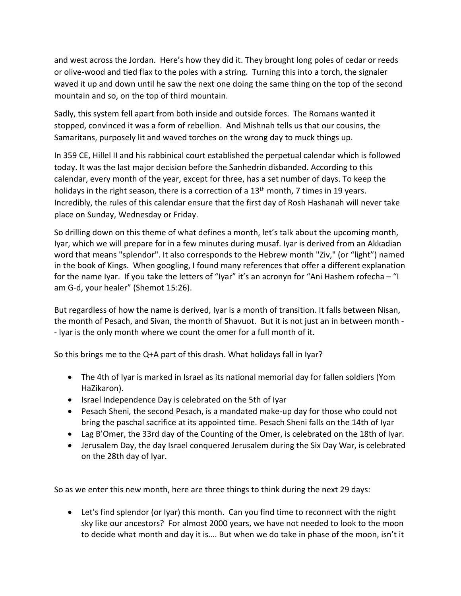and west across the Jordan. Here's how they did it. They brought long poles of cedar or reeds or olive-wood and tied flax to the poles with a string. Turning this into a torch, the signaler waved it up and down until he saw the next one doing the same thing on the top of the second mountain and so, on the top of third mountain.

Sadly, this system fell apart from both inside and outside forces. The Romans wanted it stopped, convinced it was a form of rebellion. And Mishnah tells us that our cousins, the Samaritans, purposely lit and waved torches on the wrong day to muck things up.

In 359 CE, Hillel II and his rabbinical court established the perpetual calendar which is followed today. It was the last major decision before the Sanhedrin disbanded. According to this calendar, every month of the year, except for three, has a set number of days. To keep the holidays in the right season, there is a correction of a  $13<sup>th</sup>$  month, 7 times in 19 years. Incredibly, the rules of this calendar ensure that the first day of Rosh Hashanah will never take place on Sunday, Wednesday or Friday.

So drilling down on this theme of what defines a month, let's talk about the upcoming month, Iyar, which we will prepare for in a few minutes during musaf. Iyar is derived from an Akkadian word that means "splendor". It also corresponds to the Hebrew month "Ziv," (or "light") named in the book of Kings. When googling, I found many references that offer a different explanation for the name Iyar. If you take the letters of "Iyar" it's an acronyn for "Ani Hashem rofecha – "I am G-d, your healer" (Shemot 15:26).

But regardless of how the name is derived, Iyar is a month of transition. It falls between Nisan, the month of Pesach, and Sivan, the month of Shavuot. But it is not just an in between month - - Iyar is the only month where we count the omer for a full month of it.

So this brings me to the Q+A part of this drash. What holidays fall in Iyar?

- The 4th of Iyar is marked in Israel as its national memorial day for fallen soldiers (Yom HaZikaron).
- Israel Independence Day is celebrated on the 5th of Iyar
- Pesach Sheni*,* the second Pesach, is a mandated make-up day for those who could not bring the paschal sacrifice at its appointed time. Pesach Sheni falls on the 14th of Iyar
- Lag B'Omer, the 33rd day of the Counting of the Omer, is celebrated on the 18th of Iyar.
- Jerusalem Day, the day Israel conquered Jerusalem during the Six Day War, is celebrated on the 28th day of Iyar.

So as we enter this new month, here are three things to think during the next 29 days:

• Let's find splendor (or Iyar) this month. Can you find time to reconnect with the night sky like our ancestors? For almost 2000 years, we have not needed to look to the moon to decide what month and day it is…. But when we do take in phase of the moon, isn't it